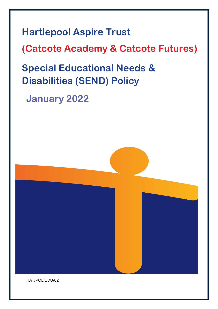**Hartlepool Aspire Trust (Catcote Academy & Catcote Futures) Special Educational Needs & Disabilities (SEND) Policy**

**January 2022**

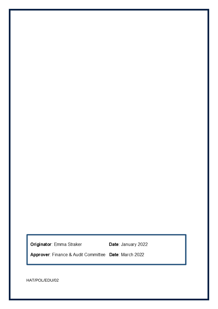Originator: Emma Straker **Date:** January 2022

Approver: Finance & Audit Committee Date: March 2022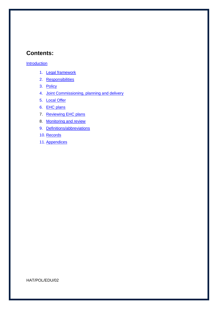# **Contents:**

#### [Introduction](#page-3-0)

- 1. [Legal framework](#page-4-0)
- 2. [Responsibilities](#page-4-1)
- 3. [Policy](#page-5-0)
- 4. [Joint Commissioning, planning and delivery](#page-8-0)
- 5. [Local Offer](#page-8-1)
- 6. [EHC plans](#page-9-0)
- 7. [Reviewing EHC plans](#page-9-1)
- 8. Monitoring and review
- 9. [Definitions/abbreviations](#page-10-0)
- 10. [Records](#page-10-1)
- 11. [Appendices](#page-11-0)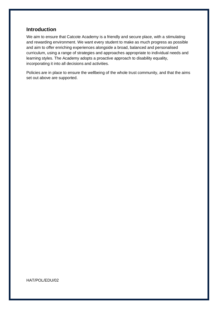### <span id="page-3-0"></span>**Introduction**

We aim to ensure that Catcote Academy is a friendly and secure place, with a stimulating and rewarding environment. We want every student to make as much progress as possible and aim to offer enriching experiences alongside a broad, balanced and personalised curriculum, using a range of strategies and approaches appropriate to individual needs and learning styles. The Academy adopts a proactive approach to disability equality, incorporating it into all decisions and activities.

Policies are in place to ensure the wellbeing of the whole trust community, and that the aims set out above are supported.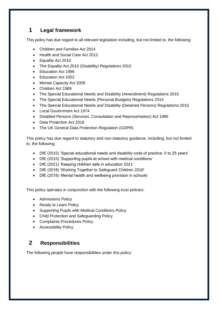# <span id="page-4-0"></span>**1 Legal framework**

This policy has due regard to all relevant legislation including, but not limited to, the following:

- Children and Families Act 2014
- Health and Social Care Act 2012
- Equality Act 2010
- The Equality Act 2010 (Disability) Regulations 2010
- Education Act 1996
- Education Act 2002
- Mental Capacity Act 2005
- Children Act 1989
- The Special Educational Needs and Disability (Amendment) Regulations 2015
- The Special Educational Needs (Personal Budgets) Regulations 2014
- The Special Educational Needs and Disability (Detained Persons) Regulations 2015
- Local Government Act 1974
- Disabled Persons (Services, Consultation and Representation) Act 1986
- Data Protection Act 2018
- The UK General Data Protection Regulation (GDPR)

This policy has due regard to statutory and non-statutory guidance, including, but not limited to, the following:

- DfE (2015) 'Special educational needs and disability code of practice: 0 to 25 years'
- DfE (2015) 'Supporting pupils at school with medical conditions'
- DfE (2021) 'Keeping children safe in education 2021'
- DfE (2018) 'Working Together to Safeguard Children 2018'
- DfE (2018) 'Mental health and wellbeing provision in schools'

This policy operates in conjunction with the following trust policies:

- Admissions Policy
- Ready to Learn Policy
- Supporting Pupils with Medical Conditions Policy
- Child Protection and Safeguarding Policy
- Complaints Procedures Policy
- Accessibility Policy

## <span id="page-4-1"></span>**2 Responsibilities**

The following people have responsibilities under this policy: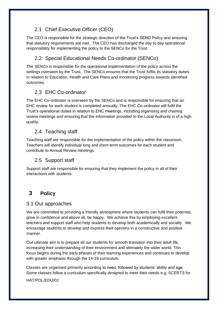## 2.1 Chief Executive Officer (CEO)

The CEO is responsible for the strategic direction of the Trust's SEND Policy and ensuring that statutory requirements are met. The CEO has discharged the day to day operational responsibility for implementing the policy to the SENCo for the Trust.

## 2.2 Special Educational Needs Co-ordinator (SENCo)

The SENCo is responsible for the operational implementation of the policy across the settings overseen by the Trust. The SENCo ensures that the Trust fulfils its statutory duties in relation to Education, Health and Care Plans and monitoring progress towards identified outcomes.

## 2.3 EHC Co-ordinator

The EHC Co-ordinator is overseen by the SENCo and is responsible for ensuring that an EHC review for each student is completed annually. The EHC Co-ordinator will fulfil the Trust's operational duties in relation to EHC meetings, including organising and chairing review meetings and ensuring that the information provided to the Local Authority is of a high quality.

### 2.4 Teaching staff

Teaching staff are responsible for the implementation of the policy within the classroom. Teachers will identify individual long and short-term outcomes for each student and contribute to Annual Review meetings.

### 2.5 Support staff

Support staff are responsible for ensuring that they implement the policy in all of their interactions with students.

# <span id="page-5-0"></span>**3 Policy**

### 3.1 Our approaches

We are committed to providing a friendly atmosphere where students can fulfil their potential, grow in confidence and above all, be happy. We achieve this by employing excellent teachers and support staff who help students to develop both academically and socially. We encourage students to develop and express their opinions in a constructive and positive manner.

Our ultimate aim is to prepare all our students for smooth transition into their adult life, increasing their understanding of their environment and ultimately the wider world. This focus begins during the early phases of their learning experiences and continues to develop with greater emphasis through the 14-19 curriculum.

Classes are organised primarily according to need, followed by students' ability and age. Some classes follow a curriculum specifically designed to meet their needs e.g. SCERTS for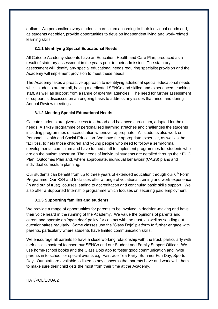autism. We personalise every student's curriculum according to their individual needs and, as students get older, provide opportunities to develop independent living and work-related learning skills.

#### **3.1.1 Identifying Special Educational Needs**

All Catcote Academy students have an Education, Health and Care Plan, produced as a result of statutory assessment in the years prior to their admission. The statutory assessment will identify any special educational needs requiring specialist provision and the Academy will implement provision to meet these needs.

The Academy takes a proactive approach to identifying additional special educational needs whilst students are on roll, having a dedicated SENCo and skilled and experienced teaching staff, as well as support from a range of external agencies. The need for further assessment or support is discussed on an ongoing basis to address any issues that arise, and during Annual Review meetings.

#### **3.1.2 Meeting Special Educational Needs**

Catcote students are given access to a broad and balanced curriculum, adapted for their needs. A 14-19 programme of personalised learning stretches and challenges the students including programmes of accreditation whenever appropriate. All students also work on Personal, Health and Social Education. We have the appropriate expertise, as well as the facilities, to help those children and young people who need to follow a semi-formal, developmental curriculum and have trained staff to implement programmes for students who are on the autism spectrum. The needs of individual students are detailed through their EHC Plan, Outcomes Plan and, where appropriate, individual behaviour (CASS) plans and individual curriculum planning.

Our students can benefit from up to three years of extended education through our  $6<sup>th</sup>$  Form Programme. Our KS4 and 5 classes offer a range of vocational training and work experience (in and out of trust), courses leading to accreditation and continuing basic skills support. We also offer a Supported Internship programme which focuses on securing paid employment.

#### **3.1.3 Supporting families and students**

We provide a range of opportunities for parents to be involved in decision-making and have their voice heard in the running of the Academy. We value the opinions of parents and carers and operate an 'open door' policy for contact with the trust, as well as sending out questionnaires regularly. Some classes use the 'Class Dojo' platform to further engage with parents, particularly where students have limited communication skills.

We encourage all parents to have a close working relationship with the trust, particularly with their child's pastoral teacher, our SENCo and our Student and Family Support Officer. We use home-school books and the Class Dojo app to foster good communication and invite parents in to school for special events e.g. Fairtrade Tea Party, Summer Fun Day, Sports Day. Our staff are available to listen to any concerns that parents have and work with them to make sure their child gets the most from their time at the Academy.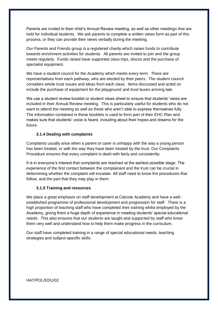Parents are invited to their child's Annual Review meeting, as well as other meetings that are held for individual students. We ask parents to complete a written views form as part of this process, or they can provide their views verbally during the meeting.

Our Parents and Friends group is a registered charity which raises funds to contribute towards enrichment activities for students. All parents are invited to join and the group meets regularly. Funds raised have supported class trips, discos and the purchase of specialist equipment.

We have a student council for the Academy which meets every term. There are representatives from each pathway, who are elected by their peers. The student council considers whole trust issues and ideas from each class. Items discussed and acted on include the purchase of equipment for the playground and trust buses arriving late.

We use a student review booklet or student views sheet to ensure that students' views are included in their Annual Review meeting. This is particularly useful for students who do not want to attend the meeting as well as those who aren't able to express themselves fully. The information contained in these booklets is used to form part of their EHC Plan and makes sure that students' voice is heard, including about their hopes and dreams for the future.

#### **3.1.4 Dealing with complaints**

Complaints usually arise when a parent or carer is unhappy with the way a young person has been treated, or with the way they have been treated by the trust. Our Complaints Procedure ensures that every complaint is dealt with fairly and consistently.

It is in everyone's interest that complaints are resolved at the earliest possible stage. The experience of the first contact between the complainant and the trust can be crucial in determining whether the complaint will escalate. All staff need to know the procedures that follow, and the part that they may play in them.

#### **3.1.5 Training and resources**

We place a great emphasis on staff development at Catcote Academy and have a wellestablished programme of professional development and progression for staff. There is a high proportion of teaching staff who have completed their training whilst employed by the Academy, giving them a huge depth of experience in meeting students' special educational needs. This also ensures that our students are taught and supported by staff who know them very well and understand how to help them make progress in the curriculum.

Our staff have completed training in a range of special educational needs, teaching strategies and subject-specific skills.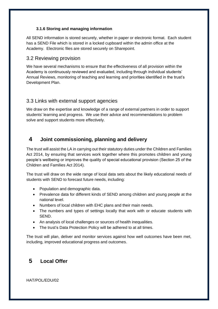#### **3.1.6 Storing and managing information**

All SEND information is stored securely, whether in paper or electronic format. Each student has a SEND File which is stored in a locked cupboard within the admin office at the Academy. Electronic files are stored securely on Sharepoint.

### 3.2 Reviewing provision

We have several mechanisms to ensure that the effectiveness of all provision within the Academy is continuously reviewed and evaluated, including through individual students' Annual Reviews, monitoring of teaching and learning and priorities identified in the trust's Development Plan.

### 3.3 Links with external support agencies

We draw on the expertise and knowledge of a range of external partners in order to support students' learning and progress. We use their advice and recommendations to problem solve and support students more effectively.

### <span id="page-8-0"></span>**4 Joint commissioning, planning and delivery**

The trust will assist the LA in carrying out their statutory duties under the Children and Families Act 2014, by ensuring that services work together where this promotes children and young people's wellbeing or improves the quality of special educational provision (Section 25 of the Children and Families Act 2014).

The trust will draw on the wide range of local data sets about the likely educational needs of students with SEND to forecast future needs, including:

- Population and demographic data.
- Prevalence data for different kinds of SEND among children and young people at the national level.
- Numbers of local children with EHC plans and their main needs.
- The numbers and types of settings locally that work with or educate students with SEND.
- An analysis of local challenges or sources of health inequalities.
- The trust's Data Protection Policy will be adhered to at all times.

The trust will plan, deliver and monitor services against how well outcomes have been met, including, improved educational progress and outcomes.

## <span id="page-8-1"></span>**5 Local Offer**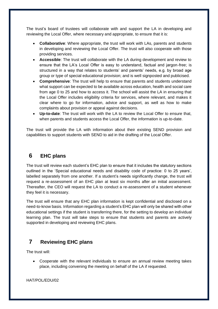The trust's board of trustees will collaborate with and support the LA in developing and reviewing the Local Offer, where necessary and appropriate, to ensure that it is:

- **Collaborative**: Where appropriate, the trust will work with LAs, parents and students in developing and reviewing the Local Offer. The trust will also cooperate with those providing services.
- **Accessible**: The trust will collaborate with the LA during development and review to ensure that the LA's Local Offer is easy to understand, factual and jargon-free; is structured in a way that relates to students' and parents' needs, e.g. by broad age group or type of special educational provision; and is well signposted and publicised.
- **Comprehensive**: The trust will help to ensure that parents and students understand what support can be expected to be available across education, health and social care from age 0 to 25 and how to access it. The school will assist the LA in ensuring that the Local Offer includes eligibility criteria for services, where relevant, and makes it clear where to go for information, advice and support, as well as how to make complaints about provision or appeal against decisions.
- **Up-to-date**: The trust will work with the LA to review the Local Offer to ensure that, when parents and students access the Local Offer, the information is up-to-date.

The trust will provide the LA with information about their existing SEND provision and capabilities to support students with SEND to aid in the drafting of the Local Offer.

# <span id="page-9-0"></span>**6 EHC plans**

The trust will review each student's EHC plan to ensure that it includes the statutory sections outlined in the 'Special educational needs and disability code of practice: 0 to 25 years', labelled separately from one another. If a student's needs significantly change, the trust will request a re-assessment of an EHC plan at least six months after an initial assessment. Thereafter, the CEO will request the LA to conduct a re-assessment of a student whenever they feel it is necessary.

The trust will ensure that any EHC plan information is kept confidential and disclosed on a need-to-know basis. Information regarding a student's EHC plan will only be shared with other educational settings if the student is transferring there, for the setting to develop an individual learning plan. The trust will take steps to ensure that students and parents are actively supported in developing and reviewing EHC plans.

## <span id="page-9-1"></span>**7 Reviewing EHC plans**

The trust will:

• Cooperate with the relevant individuals to ensure an annual review meeting takes place, including convening the meeting on behalf of the LA if requested.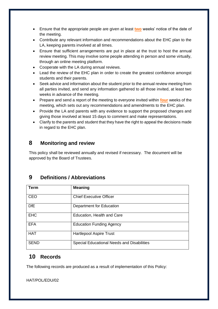- Ensure that the appropriate people are given at least **two** weeks' notice of the date of the meeting.
- Contribute any relevant information and recommendations about the EHC plan to the LA, keeping parents involved at all times.
- Ensure that sufficient arrangements are put in place at the trust to host the annual review meeting. This may involve some people attending in person and some virtually, through an online meeting platform.
- Cooperate with the LA during annual reviews.
- Lead the review of the EHC plan in order to create the greatest confidence amongst students and their parents.
- Seek advice and information about the student prior to the annual review meeting from all parties invited, and send any information gathered to all those invited, at least two weeks in advance of the meeting.
- Prepare and send a report of the meeting to everyone invited within **four** weeks of the meeting, which sets out any recommendations and amendments to the EHC plan.
- Provide the LA and parents with any evidence to support the proposed changes and giving those involved at least 15 days to comment and make representations.
- Clarify to the parents and student that they have the right to appeal the decisions made in regard to the EHC plan.

## **8 Monitoring and review**

This policy shall be reviewed annually and revised if necessary. The document will be approved by the Board of Trustees.

## <span id="page-10-0"></span>**9 Definitions / Abbreviations**

| Term        | <b>Meaning</b>                             |
|-------------|--------------------------------------------|
| CEO         | <b>Chief Executive Officer</b>             |
| <b>DfE</b>  | Department for Education                   |
| <b>EHC</b>  | Education, Health and Care                 |
| <b>EFA</b>  | <b>Education Funding Agency</b>            |
| <b>HAT</b>  | <b>Hartlepool Aspire Trust</b>             |
| <b>SEND</b> | Special Educational Needs and Disabilities |

### <span id="page-10-1"></span>**10 Records**

The following records are produced as a result of implementation of this Policy: